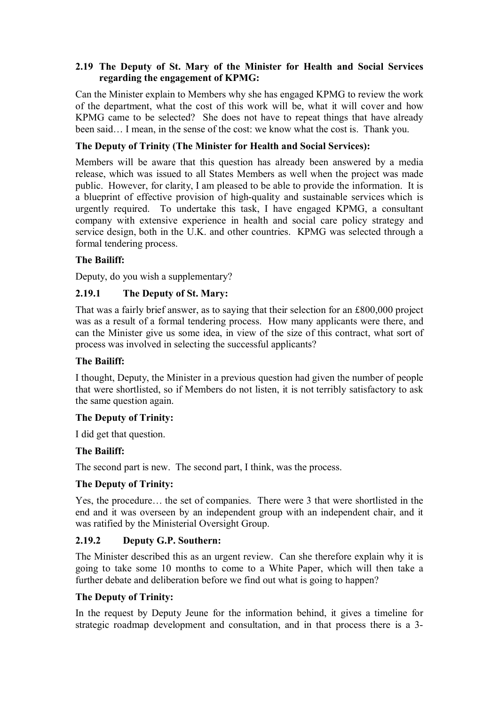## **2.19 The Deputy of St. Mary of the Minister for Health and Social Services regarding the engagement of KPMG:**

Can the Minister explain to Members why she has engaged KPMG to review the work of the department, what the cost of this work will be, what it will cover and how KPMG came to be selected? She does not have to repeat things that have already been said… I mean, in the sense of the cost: we know what the cost is. Thank you.

## **The Deputy of Trinity (The Minister for Health and Social Services):**

Members will be aware that this question has already been answered by a media release, which was issued to all States Members as well when the project was made public. However, for clarity, I am pleased to be able to provide the information. It is a blueprint of effective provision of high-quality and sustainable services which is urgently required. To undertake this task, I have engaged KPMG, a consultant company with extensive experience in health and social care policy strategy and service design, both in the U.K. and other countries. KPMG was selected through a formal tendering process.

## **The Bailiff:**

Deputy, do you wish a supplementary?

## **2.19.1 The Deputy of St. Mary:**

That was a fairly brief answer, as to saying that their selection for an £800,000 project was as a result of a formal tendering process. How many applicants were there, and can the Minister give us some idea, in view of the size of this contract, what sort of process was involved in selecting the successful applicants?

### **The Bailiff:**

I thought, Deputy, the Minister in a previous question had given the number of people that were shortlisted, so if Members do not listen, it is not terribly satisfactory to ask the same question again.

### **The Deputy of Trinity:**

I did get that question.

### **The Bailiff:**

The second part is new. The second part, I think, was the process.

### **The Deputy of Trinity:**

Yes, the procedure… the set of companies. There were 3 that were shortlisted in the end and it was overseen by an independent group with an independent chair, and it was ratified by the Ministerial Oversight Group.

### **2.19.2 Deputy G.P. Southern:**

The Minister described this as an urgent review. Can she therefore explain why it is going to take some 10 months to come to a White Paper, which will then take a further debate and deliberation before we find out what is going to happen?

### **The Deputy of Trinity:**

In the request by Deputy Jeune for the information behind, it gives a timeline for strategic roadmap development and consultation, and in that process there is a 3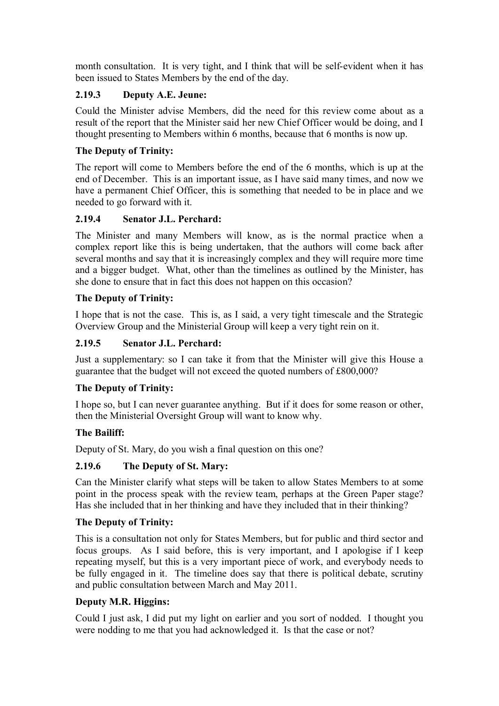month consultation. It is very tight, and I think that will be self-evident when it has been issued to States Members by the end of the day.

# **2.19.3 Deputy A.E. Jeune:**

Could the Minister advise Members, did the need for this review come about as a result of the report that the Minister said her new Chief Officer would be doing, and I thought presenting to Members within 6 months, because that 6 months is now up.

# **The Deputy of Trinity:**

The report will come to Members before the end of the 6 months, which is up at the end of December. This is an important issue, as I have said many times, and now we have a permanent Chief Officer, this is something that needed to be in place and we needed to go forward with it.

# **2.19.4 Senator J.L. Perchard:**

The Minister and many Members will know, as is the normal practice when a complex report like this is being undertaken, that the authors will come back after several months and say that it is increasingly complex and they will require more time and a bigger budget. What, other than the timelines as outlined by the Minister, has she done to ensure that in fact this does not happen on this occasion?

# **The Deputy of Trinity:**

I hope that is not the case. This is, as I said, a very tight timescale and the Strategic Overview Group and the Ministerial Group will keep a very tight rein on it.

# **2.19.5 Senator J.L. Perchard:**

Just a supplementary: so I can take it from that the Minister will give this House a guarantee that the budget will not exceed the quoted numbers of £800,000?

# **The Deputy of Trinity:**

I hope so, but I can never guarantee anything. But if it does for some reason or other, then the Ministerial Oversight Group will want to know why.

# **The Bailiff:**

Deputy of St. Mary, do you wish a final question on this one?

# **2.19.6 The Deputy of St. Mary:**

Can the Minister clarify what steps will be taken to allow States Members to at some point in the process speak with the review team, perhaps at the Green Paper stage? Has she included that in her thinking and have they included that in their thinking?

# **The Deputy of Trinity:**

This is a consultation not only for States Members, but for public and third sector and focus groups. As I said before, this is very important, and I apologise if I keep repeating myself, but this is a very important piece of work, and everybody needs to be fully engaged in it. The timeline does say that there is political debate, scrutiny and public consultation between March and May 2011.

# **Deputy M.R. Higgins:**

Could I just ask, I did put my light on earlier and you sort of nodded. I thought you were nodding to me that you had acknowledged it. Is that the case or not?